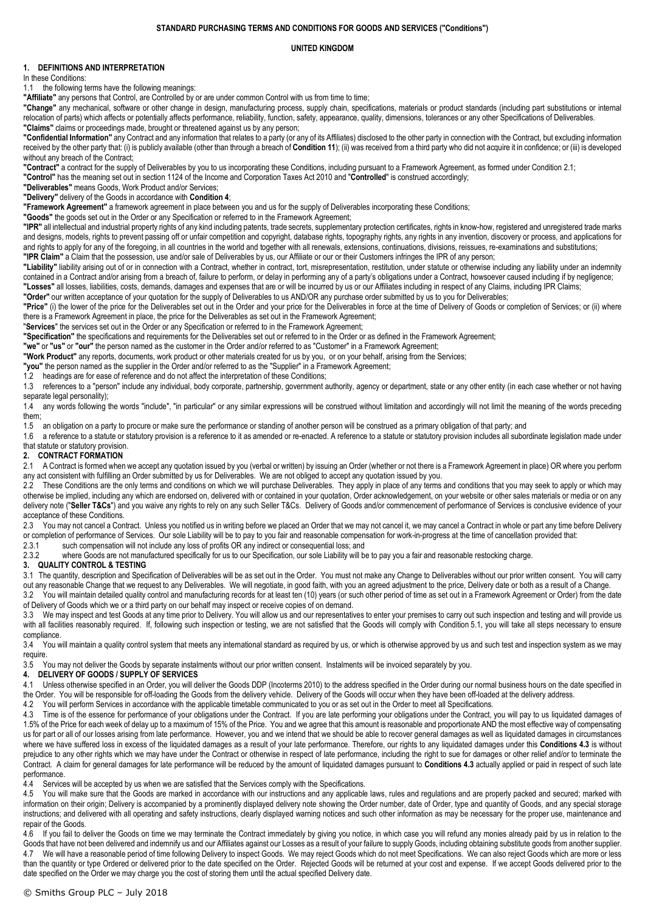#### **STANDARD PURCHASING TERMS AND CONDITIONS FOR GOODS AND SERVICES ("Conditions")**

#### **UNITED KINGDOM**

# **1. DEFINITIONS AND INTERPRETATION**

In these Conditions:

1.1 the following terms have the following meanings:

**"Affiliate"** any persons that Control, are Controlled by or are under common Control with us from time to time;

**"Change"** any mechanical, software or other change in design, manufacturing process, supply chain, specifications, materials or product standards (including part substitutions or internal relocation of parts) which affects or potentially affects performance, reliability, function, safety, appearance, quality, dimensions, tolerances or any other Specifications of Deliverables. **"Claims"** claims or proceedings made, brought or threatened against us by any person;

**"Confidential Information"** any Contract and any information that relates to a party (or any of its Affiliates) disclosed to the other party in connection with the Contract, but excluding information received by the other party that: (i) is publicly available (other than through a breach of **Conditio[n 11](#page-2-0)**); (ii) was received from a third party who did not acquire it in confidence; or (iii) is developed without any breach of the Contract;

**"Contract"** a contract for the supply of Deliverables by you to us incorporating these Conditions, including pursuant to a Framework Agreement, as formed under Conditio[n 2.1;](#page-0-0)

**"Control"** has the meaning set out in section 1124 of the Income and Corporation Taxes Act 2010 and "**Controlled**" is construed accordingly;

**"Deliverables"** means Goods, Work Product and/or Services;

**"Delivery"** delivery of the Goods in accordance with **Condition [4](#page-0-1)**;

**"Framework Agreement"** a framework agreement in place between you and us for the supply of Deliverables incorporating these Conditions;

**"Goods"** the goods set out in the Order or any Specification or referred to in the Framework Agreement;

**"IPR"** all intellectual and industrial property rights of any kind including patents, trade secrets, supplementary protection certificates, rights in know-how, registered and unregistered trade marks and designs, models, rights to prevent passing off or unfair competition and copyright, database rights, topography rights, any rights in any invention, discovery or process, and applications for and rights to apply for any of the foregoing, in all countries in the world and together with all renewals, extensions, continuations, divisions, reissues, re-examinations and substitutions; **"IPR Claim"** a Claim that the possession, use and/or sale of Deliverables by us, our Affiliate or our or their Customers infringes the IPR of any person;

"Liability" liability arising out of or in connection with a Contract, whether in contract, tort, misrepresentation, restitution, under statute or otherwise including any liability under an indemnity contained in a Contract and/or arising from a breach of, failure to perform, or delay in performing any of a party's obligations under a Contract, howsoever caused including if by negligence; **"Losses"** all losses, liabilities, costs, demands, damages and expenses that are or will be incurred by us or our Affiliates including in respect of any Claims, including IPR Claims;

**"Order"** our written acceptance of your quotation for the supply of Deliverables to us AND/OR any purchase order submitted by us to you for Deliverables;

**"Price"** (i) the lower of the price for the Deliverables set out in the Order and your price for the Deliverables in force at the time of Delivery of Goods or completion of Services; or (ii) where there is a Framework Agreement in place, the price for the Deliverables as set out in the Framework Agreement;

"**Services**" the services set out in the Order or any Specification or referred to in the Framework Agreement;

**"Specification"** the specifications and requirements for the Deliverables set out or referred to in the Order or as defined in the Framework Agreement;

**"we"** or **"us"** or **"our"** the person named as the customer in the Order and/or referred to as "Customer" in a Framework Agreement;

**"Work Product"** any reports, documents, work product or other materials created for us by you, or on your behalf, arising from the Services;

**"you"** the person named as the supplier in the Order and/or referred to as the "Supplier" in a Framework Agreement;

1.2 headings are for ease of reference and do not affect the interpretation of these Conditions;

1.3 references to a "person" include any individual, body corporate, partnership, government authority, agency or department, state or any other entity (in each case whether or not having separate legal personality);

1.4 any words following the words "include", "in particular" or any similar expressions will be construed without limitation and accordingly will not limit the meaning of the words preceding them;

1.5 an obligation on a party to procure or make sure the performance or standing of another person will be construed as a primary obligation of that party; and

1.6 a reference to a statute or statutory provision is a reference to it as amended or re-enacted. A reference to a statute or statutory provision includes all subordinate legislation made under that statute or statutory provision.

### **2. CONTRACT FORMATION**

<span id="page-0-0"></span>2.1 A Contract is formed when we accept any quotation issued by you (verbal or written) by issuing an Order (whether or not there is a Framework Agreement in place) OR where you perform any act consistent with fulfilling an Order submitted by us for Deliverables. We are not obliged to accept any quotation issued by you.

2.2 These Conditions are the only terms and conditions on which we will purchase Deliverables. They apply in place of any terms and conditions that you may seek to apply or which may otherwise be implied, including any which are endorsed on, delivered with or contained in your quotation, Order acknowledgement, on your website or other sales materials or media or on any delivery note ("Seller T&Cs") and you waive any rights to rely on any such Seller T&Cs. Delivery of Goods and/or commencement of performance of Services is conclusive evidence of your acceptance of these Conditions.

2.3 You may not cancel a Contract. Unless you notified us in writing before we placed an Order that we may not cancel it, we may cancel a Contract in whole or part any time before Delivery or completion of performance of Services. Our sole Liability will be to pay to you fair and reasonable compensation for work-in-progress at the time of cancellation provided that:<br>2.3.1 such compensation will not include a

such compensation will not include any loss of profits OR any indirect or consequential loss; and

2.3.2 where Goods are not manufactured specifically for us to our Specification, our sole Liability will be to pay you a fair and reasonable restocking charge.

### **3. QUALITY CONTROL & TESTING**

3.1 The quantity, description and Specification of Deliverables will be as set out in the Order. You must not make any Change to Deliverables without our prior written consent. You will carry out any reasonable Change that we request to any Deliverables. We will negotiate, in good faith, with you an agreed adjustment to the price, Delivery date or both as a result of a Change.

3.2 You will maintain detailed quality control and manufacturing records for at least ten (10) years (or such other period of time as set out in a Framework Agreement or Order) from the date of Delivery of Goods which we or a third party on our behalf may inspect or receive copies of on demand.

3.3 We may inspect and test Goods at any time prior to Delivery. You will allow us and our representatives to enter your premises to carry out such inspection and testing and will provide us with all facilities reasonably required. If, following such inspection or testing, we are not satisfied that the Goods will comply with Condition [5.1,](#page-1-0) you will take all steps necessary to ensure compliance.

3.4 You will maintain a quality control system that meets any international standard as required by us, or which is otherwise approved by us and such test and inspection system as we may require.

3.5 You may not deliver the Goods by separate instalments without our prior written consent. Instalments will be invoiced separately by you.

# <span id="page-0-1"></span>**4. DELIVERY OF GOODS / SUPPLY OF SERVICES**

4.1 Unless otherwise specified in an Order, you will deliver the Goods DDP (Incoterms 2010) to the address specified in the Order during our normal business hours on the date specified in the Order. You will be responsible for off-loading the Goods from the delivery vehicle. Delivery of the Goods will occur when they have been off-loaded at the delivery address.

4.2 You will perform Services in accordance with the applicable timetable communicated to you or as set out in the Order to meet all Specifications.

<span id="page-0-2"></span>4.3 Time is of the essence for performance of your obligations under the Contract. If you are late performing your obligations under the Contract, you will pay to us liquidated damages of 1.5% of the Price for each week of delay up to a maximum of 15% of the Price. You and we agree that this amount is reasonable and proportionate AND the most effective way of compensating us for part or all of our losses arising from late performance. However, you and we intend that we should be able to recover general damages as well as liquidated damages in circumstances where we have suffered loss in excess of the liquidated damages as a result of your late performance. Therefore, our rights to any liquidated damages under this **Conditions [4.3](#page-0-2)** is without prejudice to any other rights which we may have under the Contract or otherwise in respect of late performance, including the right to sue for damages or other relief and/or to terminate the Contract. A claim for general damages for late performance will be reduced by the amount of liquidated damages pursuant to **Condition[s 4.3](#page-0-2)** actually applied or paid in respect of such late performance.

4.4 Services will be accepted by us when we are satisfied that the Services comply with the Specifications.

4.5 You will make sure that the Goods are marked in accordance with our instructions and any applicable laws, rules and regulations and are properly packed and secured; marked with information on their origin; Delivery is accompanied by a prominently displayed delivery note showing the Order number, date of Order, type and quantity of Goods, and any special storage instructions; and delivered with all operating and safety instructions, clearly displayed warning notices and such other information as may be necessary for the proper use, maintenance and repair of the Goods.

4.6 If you fail to deliver the Goods on time we may terminate the Contract immediately by giving you notice, in which case you will refund any monies already paid by us in relation to the Goods that have not been delivered and indemnify us and our Affiliates against our Losses as a result of your failure to supply Goods, including obtaining substitute goods from another supplier. 4.7 We will have a reasonable period of time following Delivery to inspect Goods. We may reject Goods which do not meet Specifications. We can also reject Goods which are more or less than the quantity or type Ordered or delivered prior to the date specified on the Order. Rejected Goods will be returned at your cost and expense. If we accept Goods delivered prior to the date specified on the Order we may charge you the cost of storing them until the actual specified Delivery date.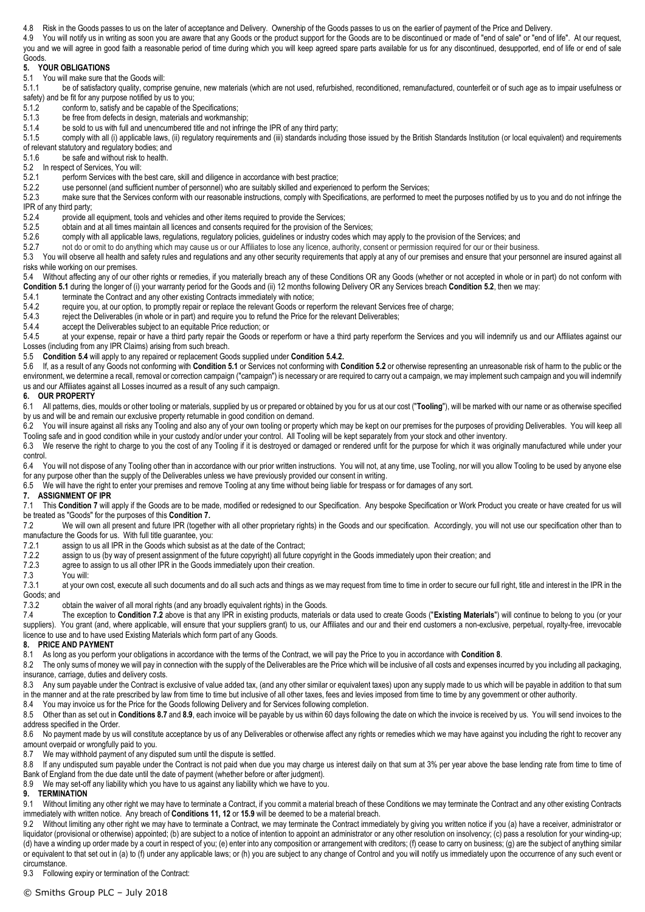4.8 Risk in the Goods passes to us on the later of acceptance and Delivery. Ownership of the Goods passes to us on the earlier of payment of the Price and Delivery.

4.9 You will notify us in writing as soon you are aware that any Goods or the product support for the Goods are to be discontinued or made of "end of sale" or "end of life". At our request, you and we will agree in good faith a reasonable period of time during which you will keep agreed spare parts available for us for any discontinued, desupported, end of life or end of sale Goods.

## **5. YOUR OBLIGATIONS**

<span id="page-1-0"></span>5.1 You will make sure that the Goods will:<br>5.1.1 be of satisfactory quality, compri-

be of satisfactory quality, comprise genuine, new materials (which are not used, refurbished, reconditioned, remanufactured, counterfeit or of such age as to impair usefulness or safety) and be fit for any purpose notified by us to you;

- 5.1.2 conform to, satisfy and be capable of the Specifications;
- 5.1.3 be free from defects in design, materials and workmanship;
- 5.1.4 be sold to us with full and unencumbered title and not infringe the IPR of any third party;<br>5.1.5 comply with all (i) applicable laws, (ii) regulatory requirements and (iii) standards including

comply with all (i) applicable laws, (ii) regulatory requirements and (iii) standards including those issued by the British Standards Institution (or local equivalent) and requirements of relevant statutory and regulatory bodies; and

5.1.6 be safe and without risk to health.

<span id="page-1-1"></span>5.2 In respect of Services, You will:<br>5.2.1 perform Services with the

perform Services with the best care, skill and diligence in accordance with best practice;

5.2.2 use personnel (and sufficient number of personnel) who are suitably skilled and experienced to perform the Services;<br>5.2.3 make sure that the Services conform with our reasonable instructions, comply with Specificati

make sure that the Services conform with our reasonable instructions, comply with Specifications, are performed to meet the purposes notified by us to you and do not infringe the IPR of any third party;<br>5.2.4 provide a

provide all equipment, tools and vehicles and other items required to provide the Services;

- 5.2.5 obtain and at all times maintain all licences and consents required for the provision of the Services;
- 5.2.6 comply with all applicable laws, regulations, regulatory policies, guidelines or industry codes which may apply to the provision of the Services; and<br>5.2.7 on the or omit to do anything which may cause us or our Affi
- 5.2.7 not do or omit to do anything which may cause us or our Affiliates to lose any licence, authority, consent or permission required for our or their business.

5.3 You will observe all health and safety rules and regulations and any other security requirements that apply at any of our premises and ensure that your personnel are insured against all risks while working on our premises.

<span id="page-1-2"></span>5.4 Without affecting any of our other rights or remedies, if you materially breach any of these Conditions OR any Goods (whether or not accepted in whole or in part) do not conform with **Conditio[n 5.1](#page-1-0)** during the longer of (i) your warranty period for the Goods and (ii) 12 months following Delivery OR any Services breach **Conditio[n 5.2](#page-1-1)**, then we may:

5.4.1 terminate the Contract and any other existing Contracts immediately with notice;<br>5.4.2 require you, at our option, to promptly repair or replace the relevant Goods or rei

<span id="page-1-3"></span>5.4.2 require you, at our option, to promptly repair or replace the relevant Goods or reperform the relevant Services free of charge;<br>5.4.3 reject the Deliverables (in whole or in part) and require you to refund the Price

reject the Deliverables (in whole or in part) and require you to refund the Price for the relevant Deliverables;

5.4.4 accept the Deliverables subject to an equitable Price reduction; or 5.4.5 at your expense, repair or have a third party repair the Goods or

at your expense, repair or have a third party repair the Goods or reperform or have a third party reperform the Services and you will indemnify us and our Affiliates against our Losses (including from any IPR Claims) arising from such breach.

5.5 **Conditio[n 5.4](#page-1-2)** will apply to any repaired or replacement Goods supplied under **Conditio[n 5.4.2.](#page-1-3)**

5.6 If, as a result of any Goods not conforming with **Conditio[n 5.1](#page-1-0)** or Services not conforming with **Conditio[n 5.2](#page-1-1)** or otherwise representing an unreasonable risk of harm to the public or the environment, we determine a recall, removal or correction campaign ("campaign") is necessary or are required to carry out a campaign, we may implement such campaign and you will indemnify us and our Affiliates against all Losses incurred as a result of any such campaign.

#### **6. OUR PROPERTY**

6.1 All patterns, dies, moulds or other tooling or materials, supplied by us or prepared or obtained by you for us at our cost ("**Tooling**"), will be marked with our name or as otherwise specified by us and will be and remain our exclusive property returnable in good condition on demand.

6.2 You will insure against all risks any Tooling and also any of your own tooling or property which may be kept on our premises for the purposes of providing Deliverables. You will keep all Tooling safe and in good condition while in your custody and/or under your control. All Tooling will be kept separately from your stock and other inventory.

6.3 We reserve the right to charge to you the cost of any Tooling if it is destroyed or damaged or rendered unfit for the purpose for which it was originally manufactured while under your control.

6.4 You will not dispose of any Tooling other than in accordance with our prior written instructions. You will not, at any time, use Tooling, nor will you allow Tooling to be used by anyone else for any purpose other than the supply of the Deliverables unless we have previously provided our consent in writing.

6.5 We will have the right to enter your premises and remove Tooling at any time without being liable for trespass or for damages of any sort.

#### <span id="page-1-4"></span>**7. ASSIGNMENT OF IPR**

7.1 This Conditio[n 7](#page-1-4) will apply if the Goods are to be made, modified or redesigned to our Specification. Any bespoke Specification or Work Product you create or have created for us will be treated as "Goods" for the purposes of this **Conditio[n 7.](#page-1-4)**

<span id="page-1-5"></span>7.2 We will own all present and future IPR (together with all other proprietary rights) in the Goods and our specification. Accordingly, you will not use our specification other than to manufacture the Goods for us. With full title guarantee, you:<br>7.2.1 assign to us all IPR in the Goods which subsist a

- assign to us all IPR in the Goods which subsist as at the date of the Contract;
- 7.2.2 assign to us (by way of present assignment of the future copyright) all future copyright in the Goods immediately upon their creation; and 7.2.3 agree to assign to us all other IPR in the Goods immediately upon their
- 7.2.3 agree to assign to us all other IPR in the Goods immediately upon their creation.<br>7.3 You will:
- 

7.3 You will: at your own cost, execute all such documents and do all such acts and things as we may request from time to time in order to secure our full right, title and interest in the IPR in the Goods; and

7.3.2 obtain the waiver of all moral rights (and any broadly equivalent rights) in the Goods.

7.4 The exception to **Condition [7.2](#page-1-5)** above is that any IPR in existing products, materials or data used to create Goods ("**Existing Materials**") will continue to belong to you (or your suppliers). You grant (and, where applicable, will ensure that your suppliers grant) to us, our Affiliates and our and their end customers a non-exclusive, perpetual, royalty-free, irrevocable licence to use and to have used Existing Materials which form part of any Goods.

## <span id="page-1-6"></span>**8. PRICE AND PAYMENT**

8.1 As long as you perform your obligations in accordance with the terms of the Contract, we will pay the Price to you in accordance with **Conditio[n 8](#page-1-6)**.

8.2 The only sums of money we will pay in connection with the supply of the Deliverables are the Price which will be inclusive of all costs and expenses incurred by you including all packaging, insurance, carriage, duties and delivery costs.

8.3 Any sum payable under the Contract is exclusive of value added tax, (and any other similar or equivalent taxes) upon any supply made to us which will be payable in addition to that sum in the manner and at the rate prescribed by law from time to time but inclusive of all other taxes, fees and levies imposed from time to time by any government or other authority.

8.4 You may invoice us for the Price for the Goods following Delivery and for Services following completion.

8.5 Other than as set out in **Condition[s 8.7](#page-1-7)** and **[8.9](#page-1-8)**, each invoice will be payable by us within 60 days following the date on which the invoice is received by us. You will send invoices to the address specified in the Order.

8.6 No payment made by us will constitute acceptance by us of any Deliverables or otherwise affect any rights or remedies which we may have against you including the right to recover any amount overpaid or wrongfully paid to you.<br>8.7 We may withhold payment of any dis

<span id="page-1-7"></span>We may withhold payment of any disputed sum until the dispute is settled.

8.8 If any undisputed sum payable under the Contract is not paid when due you may charge us interest daily on that sum at 3% per year above the base lending rate from time to time of Bank of England from the due date until the date of payment (whether before or after judgment).

<span id="page-1-8"></span>8.9 We may set-off any liability which you have to us against any liability which we have to you.

## **9. TERMINATION**

9.1 Without limiting any other right we may have to terminate a Contract, if you commit a material breach of these Conditions we may terminate the Contract and any other existing Contracts immediately with written notice. Any breach of **Conditions 11, 12** or **[15.9](#page-2-1)** will be deemed to be a material breach.

9.2 Without limiting any other right we may have to terminate a Contract, we may terminate the Contract immediately by giving you written notice if you (a) have a receiver, administrator or liquidator (provisional or otherwise) appointed; (b) are subject to a notice of intention to appoint an administrator or any other resolution on insolvency; (c) pass a resolution for your winding-up; (d) have a winding up order made by a court in respect of you; (e) enter into any composition or arrangement with creditors; (f) cease to carry on business; (g) are the subject of anything similar or equivalent to that set out in (a) to (f) under any applicable laws; or (h) you are subject to any change of Control and you will notify us immediately upon the occurrence of any such event or circumstance.

9.3 Following expiry or termination of the Contract: